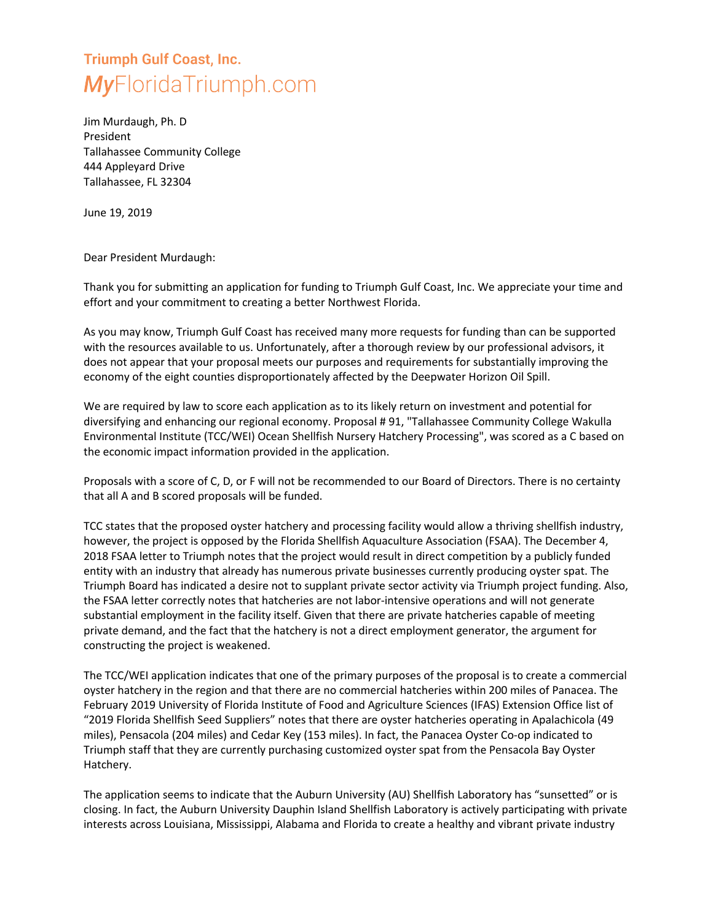## **Triumph Gulf Coast, Inc. MyFloridaTriumph.com**

Jim Murdaugh, Ph. D President Tallahassee Community College 444 Appleyard Drive Tallahassee, FL 32304

June 19, 2019

Dear President Murdaugh:

Thank you for submitting an application for funding to Triumph Gulf Coast, Inc. We appreciate your time and effort and your commitment to creating a better Northwest Florida.

As you may know, Triumph Gulf Coast has received many more requests for funding than can be supported with the resources available to us. Unfortunately, after a thorough review by our professional advisors, it does not appear that your proposal meets our purposes and requirements for substantially improving the economy of the eight counties disproportionately affected by the Deepwater Horizon Oil Spill.

We are required by law to score each application as to its likely return on investment and potential for diversifying and enhancing our regional economy. Proposal # 91, "Tallahassee Community College Wakulla Environmental Institute (TCC/WEI) Ocean Shellfish Nursery Hatchery Processing", was scored as a C based on the economic impact information provided in the application.

Proposals with a score of C, D, or F will not be recommended to our Board of Directors. There is no certainty that all A and B scored proposals will be funded.

TCC states that the proposed oyster hatchery and processing facility would allow a thriving shellfish industry, however, the project is opposed by the Florida Shellfish Aquaculture Association (FSAA). The December 4, 2018 FSAA letter to Triumph notes that the project would result in direct competition by a publicly funded entity with an industry that already has numerous private businesses currently producing oyster spat. The Triumph Board has indicated a desire not to supplant private sector activity via Triumph project funding. Also, the FSAA letter correctly notes that hatcheries are not labor-intensive operations and will not generate substantial employment in the facility itself. Given that there are private hatcheries capable of meeting private demand, and the fact that the hatchery is not a direct employment generator, the argument for constructing the project is weakened.

The TCC/WEI application indicates that one of the primary purposes of the proposal is to create a commercial oyster hatchery in the region and that there are no commercial hatcheries within 200 miles of Panacea. The February 2019 University of Florida Institute of Food and Agriculture Sciences (IFAS) Extension Office list of "2019 Florida Shellfish Seed Suppliers" notes that there are oyster hatcheries operating in Apalachicola (49 miles), Pensacola (204 miles) and Cedar Key (153 miles). In fact, the Panacea Oyster Co-op indicated to Triumph staff that they are currently purchasing customized oyster spat from the Pensacola Bay Oyster Hatchery.

The application seems to indicate that the Auburn University (AU) Shellfish Laboratory has "sunsetted" or is closing. In fact, the Auburn University Dauphin Island Shellfish Laboratory is actively participating with private interests across Louisiana, Mississippi, Alabama and Florida to create a healthy and vibrant private industry